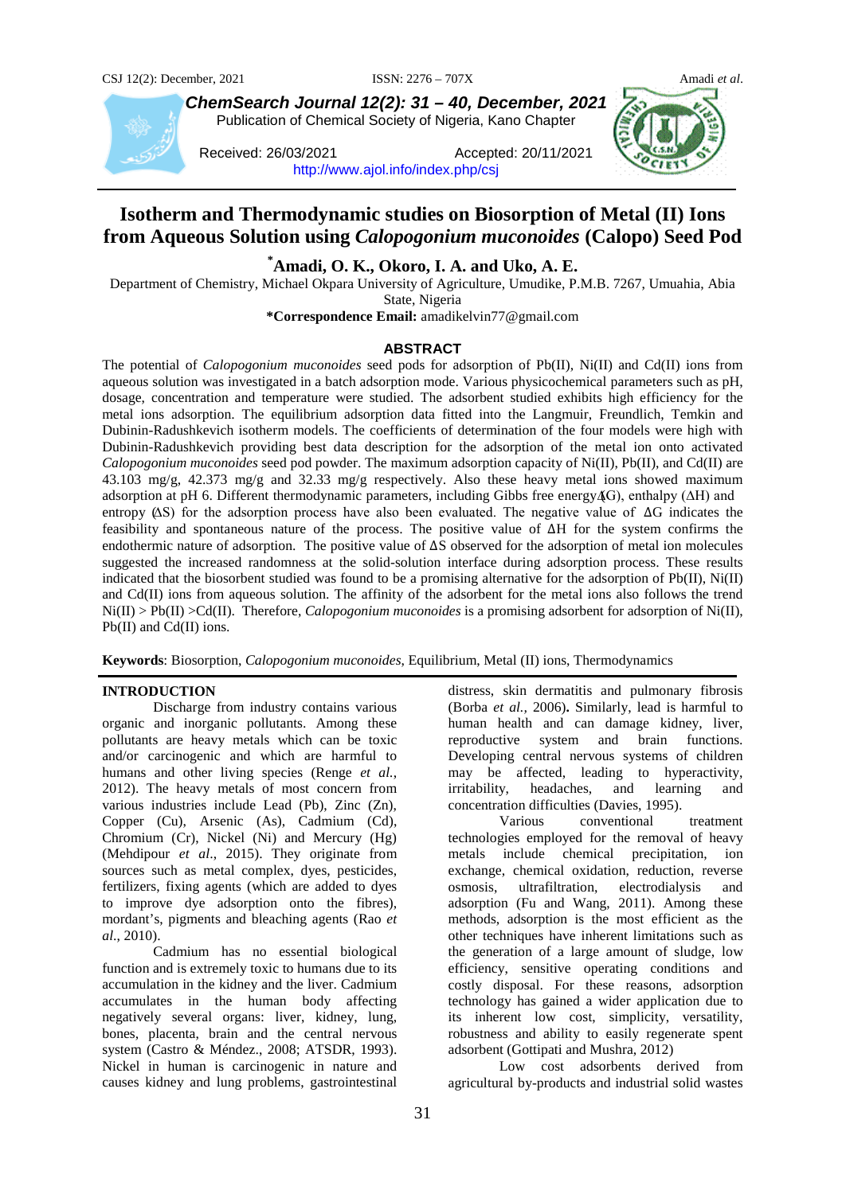

*ChemSearch Journal 12(2): 31 – 40, December, 2021* Publication of Chemical Society of Nigeria, Kano Chapter

Received: 26/03/2021 Accepted: 20/11/2021 <http://www.ajol.info/index.php/csj>



# **Isotherm and Thermodynamic studies on Biosorption of Metal (II) Ions from Aqueous Solution using** *Calopogonium muconoides* **(Calopo) Seed Pod**

**\* Amadi, O. K., Okoro, I. A. and Uko, A. E.**

Department of Chemistry, Michael Okpara University of Agriculture, Umudike, P.M.B. 7267, Umuahia, Abia State, Nigeria

**\*Correspondence Email:** amadikelvin77@gmail.com

### **ABSTRACT**

The potential of *Calopogonium muconoides* seed pods for adsorption of Pb(II), Ni(II) and Cd(II) ions from aqueous solution was investigated in a batch adsorption mode. Various physicochemical parameters such as pH, dosage, concentration and temperature were studied. The adsorbent studied exhibits high efficiency for the metal ions adsorption. The equilibrium adsorption data fitted into the Langmuir, Freundlich, Temkin and Dubinin-Radushkevich isotherm models. The coefficients of determination of the four models were high with Dubinin-Radushkevich providing best data description for the adsorption of the metal ion onto activated *Calopogonium muconoides* seed pod powder. The maximum adsorption capacity of Ni(II), Pb(II), and Cd(II) are 43.103 mg/g, 42.373 mg/g and 32.33 mg/g respectively. Also these heavy metal ions showed maximum adsorption at pH 6. Different thermodynamic parameters, including Gibbs free energy (∆G), enthalpy (∆H) and entropy (∆S) for the adsorption process have also been evaluated. The negative value of ∆G indicates the feasibility and spontaneous nature of the process. The positive value of ∆H for the system confirms the endothermic nature of adsorption. The positive value of ∆S observed for the adsorption of metal ion molecules suggested the increased randomness at the solid-solution interface during adsorption process. These results indicated that the biosorbent studied was found to be a promising alternative for the adsorption of Pb(II), Ni(II) and Cd(II) ions from aqueous solution. The affinity of the adsorbent for the metal ions also follows the trend Ni(II) > Pb(II) >Cd(II). Therefore, *Calopogonium muconoides* is a promising adsorbent for adsorption of Ni(II), Pb(II) and Cd(II) ions.

**Keywords**: Biosorption, *Calopogonium muconoides*, Equilibrium, Metal (II) ions, Thermodynamics

### **INTRODUCTION**

Discharge from industry contains various organic and inorganic pollutants. Among these pollutants are heavy metals which can be toxic and/or carcinogenic and which are harmful to humans and other living species (Renge *et al.*, 2012). The heavy metals of most concern from various industries include Lead (Pb), Zinc (Zn), Copper (Cu), Arsenic (As), Cadmium (Cd), Chromium (Cr), Nickel (Ni) and Mercury (Hg) (Mehdipour *et al*., 2015). They originate from sources such as metal complex, dyes, pesticides, fertilizers, fixing agents (which are added to dyes to improve dye adsorption onto the fibres), mordant's, pigments and bleaching agents (Rao *et al*., 2010).

Cadmium has no essential biological function and is extremely toxic to humans due to its accumulation in the kidney and the liver. Cadmium accumulates in the human body affecting negatively several organs: liver, kidney, lung, bones, placenta, brain and the central nervous system (Castro & Méndez., 2008; ATSDR, 1993). Nickel in human is carcinogenic in nature and causes kidney and lung problems, gastrointestinal

distress, skin dermatitis and pulmonary fibrosis (Borba *et al.,* 2006)**.** Similarly, lead is harmful to human health and can damage kidney, liver, reproductive system and brain functions. Developing central nervous systems of children may be affected, leading to hyperactivity, irritability, headaches, and learning and concentration difficulties (Davies, 1995).

Various conventional treatment technologies employed for the removal of heavy metals include chemical precipitation, ion exchange, chemical oxidation, reduction, reverse osmosis, ultrafiltration, electrodialysis and adsorption (Fu and Wang, 2011). Among these methods, adsorption is the most efficient as the other techniques have inherent limitations such as the generation of a large amount of sludge, low efficiency, sensitive operating conditions and costly disposal. For these reasons, adsorption technology has gained a wider application due to its inherent low cost, simplicity, versatility, robustness and ability to easily regenerate spent adsorbent (Gottipati and Mushra, 2012)

Low cost adsorbents derived from agricultural by-products and industrial solid wastes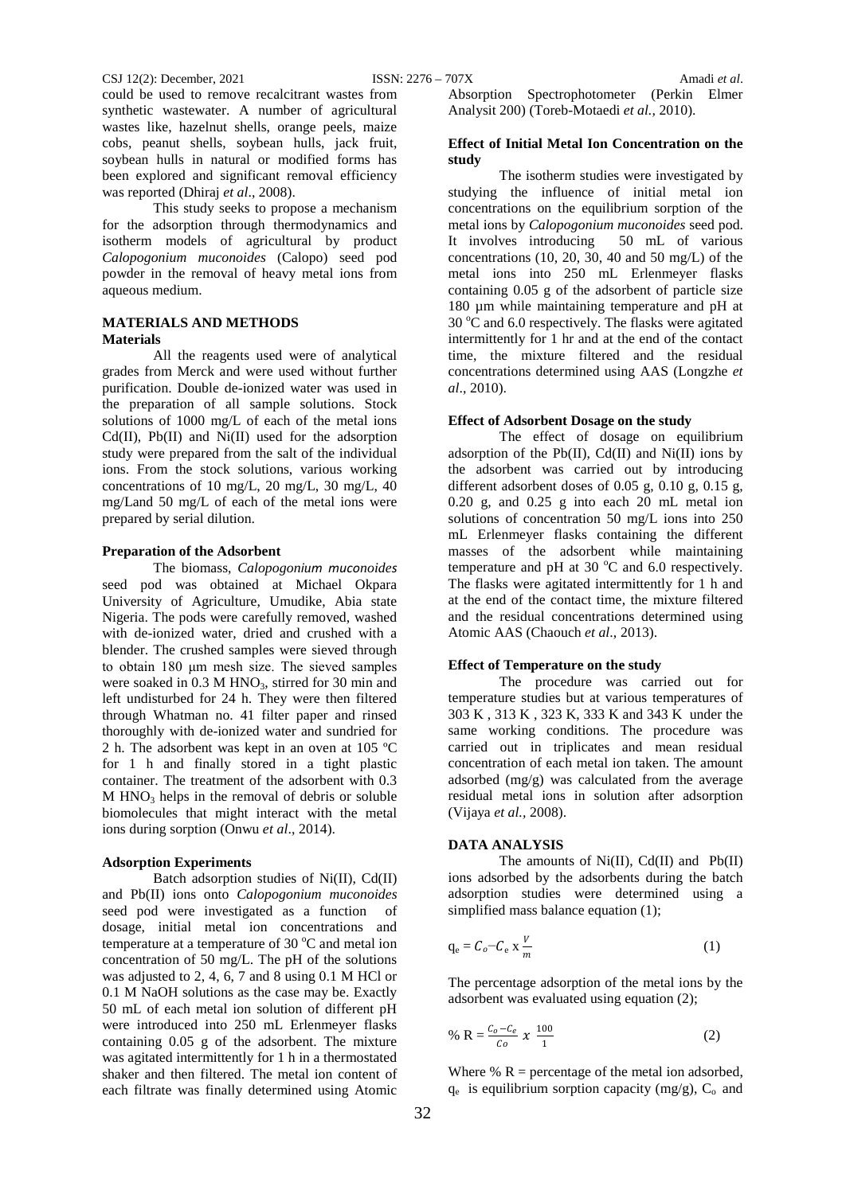could be used to remove recalcitrant wastes from synthetic wastewater. A number of agricultural wastes like, hazelnut shells, orange peels, maize cobs, peanut shells, soybean hulls, jack fruit, soybean hulls in natural or modified forms has been explored and significant removal efficiency was reported (Dhiraj *et al*., 2008).

This study seeks to propose a mechanism for the adsorption through thermodynamics and isotherm models of agricultural by product *Calopogonium muconoides* (Calopo) seed pod powder in the removal of heavy metal ions from aqueous medium.

# **MATERIALS AND METHODS Materials**

All the reagents used were of analytical grades from Merck and were used without further purification. Double de-ionized water was used in the preparation of all sample solutions. Stock solutions of 1000 mg/L of each of the metal ions  $Cd(II)$ ,  $Pb(II)$  and  $Ni(II)$  used for the adsorption study were prepared from the salt of the individual ions. From the stock solutions, various working concentrations of 10 mg/L, 20 mg/L, 30 mg/L, 40 mg/Land 50 mg/L of each of the metal ions were prepared by serial dilution.

### **Preparation of the Adsorbent**

The biomass, *Calopogonium muconoides* seed pod was obtained at Michael Okpara University of Agriculture, Umudike, Abia state Nigeria. The pods were carefully removed, washed with de-ionized water, dried and crushed with a blender. The crushed samples were sieved through to obtain 180 μm mesh size. The sieved samples were soaked in 0.3 M HNO<sub>3</sub>, stirred for 30 min and left undisturbed for 24 h. They were then filtered through Whatman no. 41 filter paper and rinsed thoroughly with de-ionized water and sundried for 2 h. The adsorbent was kept in an oven at 105 ºC for 1 h and finally stored in a tight plastic container. The treatment of the adsorbent with 0.3  $M HNO<sub>3</sub>$  helps in the removal of debris or soluble biomolecules that might interact with the metal ions during sorption (Onwu *et al*., 2014).

#### **Adsorption Experiments**

Batch adsorption studies of Ni(II), Cd(II) and Pb(II) ions onto *Calopogonium muconoides* seed pod were investigated as a function of dosage, initial metal ion concentrations and temperature at a temperature of 30 $^{\circ}$ C and metal ion concentration of 50 mg/L. The pH of the solutions was adjusted to 2, 4, 6, 7 and 8 using 0.1 M HCl or 0.1 M NaOH solutions as the case may be. Exactly 50 mL of each metal ion solution of different pH were introduced into 250 mL Erlenmeyer flasks containing 0.05 g of the adsorbent. The mixture was agitated intermittently for 1 h in a thermostated shaker and then filtered. The metal ion content of each filtrate was finally determined using Atomic

Absorption Spectrophotometer (Perkin Elmer Analysit 200) (Toreb-Motaedi *et al.,* 2010).

### **Effect of Initial Metal Ion Concentration on the study**

The isotherm studies were investigated by studying the influence of initial metal ion concentrations on the equilibrium sorption of the metal ions by *Calopogonium muconoides* seed pod. It involves introducing 50 mL of various concentrations (10, 20, 30, 40 and 50 mg/L) of the metal ions into 250 mL Erlenmeyer flasks containing 0.05 g of the adsorbent of particle size 180 um while maintaining temperature and pH at 30 °C and 6.0 respectively. The flasks were agitated intermittently for 1 hr and at the end of the contact time, the mixture filtered and the residual concentrations determined using AAS (Longzhe *et al*., 2010).

#### **Effect of Adsorbent Dosage on the study**

The effect of dosage on equilibrium adsorption of the Pb(II), Cd(II) and Ni(II) ions by the adsorbent was carried out by introducing different adsorbent doses of 0.05 g, 0.10 g, 0.15 g, 0.20 g, and 0.25 g into each 20 mL metal ion solutions of concentration 50 mg/L ions into 250 mL Erlenmeyer flasks containing the different masses of the adsorbent while maintaining temperature and pH at 30 $\degree$ C and 6.0 respectively. The flasks were agitated intermittently for 1 h and at the end of the contact time, the mixture filtered and the residual concentrations determined using Atomic AAS (Chaouch *et al*., 2013).

### **Effect of Temperature on the study**

The procedure was carried out for temperature studies but at various temperatures of 303 K , 313 K , 323 K, 333 K and 343 K under the same working conditions. The procedure was carried out in triplicates and mean residual concentration of each metal ion taken. The amount adsorbed (mg/g) was calculated from the average residual metal ions in solution after adsorption (Vijaya *et al.,* 2008).

### **DATA ANALYSIS**

The amounts of  $Ni(II)$ ,  $Cd(II)$  and  $Pb(II)$ ions adsorbed by the adsorbents during the batch adsorption studies were determined using a simplified mass balance equation (1);

$$
q_e = C_o - C_e \times \frac{V}{m} \tag{1}
$$

The percentage adsorption of the metal ions by the adsorbent was evaluated using equation (2);

% R = 
$$
\frac{C_0 - C_e}{C_0} \times \frac{100}{1}
$$
 (2)

Where  $% R$  = percentage of the metal ion adsorbed,  $q_e$  is equilibrium sorption capacity (mg/g),  $C_o$  and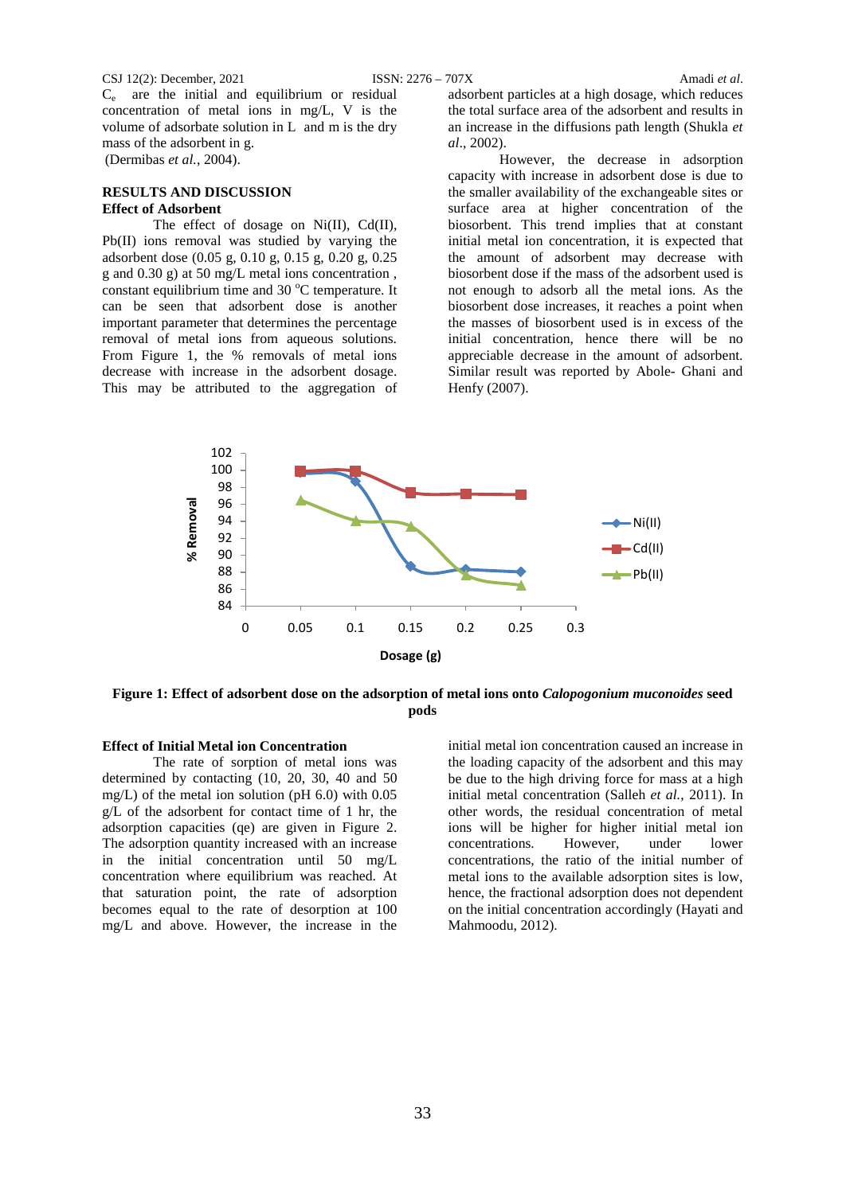#### CSJ 12(2): December, 2021 ISSN: 2276 – 707X Amadi *et al*.

Ce are the initial and equilibrium or residual concentration of metal ions in mg/L, V is the volume of adsorbate solution in L and m is the dry mass of the adsorbent in g. (Dermibas *et al.*, 2004).

### **RESULTS AND DISCUSSION Effect of Adsorbent**

The effect of dosage on Ni(II), Cd(II), Pb(II) ions removal was studied by varying the adsorbent dose (0.05 g, 0.10 g, 0.15 g, 0.20 g, 0.25 g and 0.30 g) at 50 mg/L metal ions concentration , constant equilibrium time and 30 °C temperature. It can be seen that adsorbent dose is another important parameter that determines the percentage removal of metal ions from aqueous solutions. From Figure 1, the % removals of metal ions decrease with increase in the adsorbent dosage. This may be attributed to the aggregation of

adsorbent particles at a high dosage, which reduces the total surface area of the adsorbent and results in an increase in the diffusions path length (Shukla *et al*., 2002).

However, the decrease in adsorption capacity with increase in adsorbent dose is due to the smaller availability of the exchangeable sites or surface area at higher concentration of the biosorbent. This trend implies that at constant initial metal ion concentration, it is expected that the amount of adsorbent may decrease with biosorbent dose if the mass of the adsorbent used is not enough to adsorb all the metal ions. As the biosorbent dose increases, it reaches a point when the masses of biosorbent used is in excess of the initial concentration, hence there will be no appreciable decrease in the amount of adsorbent. Similar result was reported by Abole- Ghani and Henfy (2007).



**Figure 1: Effect of adsorbent dose on the adsorption of metal ions onto** *Calopogonium muconoides* **seed pods**

# **Effect of Initial Metal ion Concentration**

The rate of sorption of metal ions was determined by contacting (10, 20, 30, 40 and 50 mg/L) of the metal ion solution (pH 6.0) with 0.05 g/L of the adsorbent for contact time of 1 hr, the adsorption capacities (qe) are given in Figure 2. The adsorption quantity increased with an increase in the initial concentration until 50 mg/L concentration where equilibrium was reached. At that saturation point, the rate of adsorption becomes equal to the rate of desorption at 100 mg/L and above. However, the increase in the

initial metal ion concentration caused an increase in the loading capacity of the adsorbent and this may be due to the high driving force for mass at a high initial metal concentration (Salleh *et al.*, 2011). In other words, the residual concentration of metal ions will be higher for higher initial metal ion concentrations. However, under lower concentrations, the ratio of the initial number of metal ions to the available adsorption sites is low, hence, the fractional adsorption does not dependent on the initial concentration accordingly (Hayati and Mahmoodu, 2012).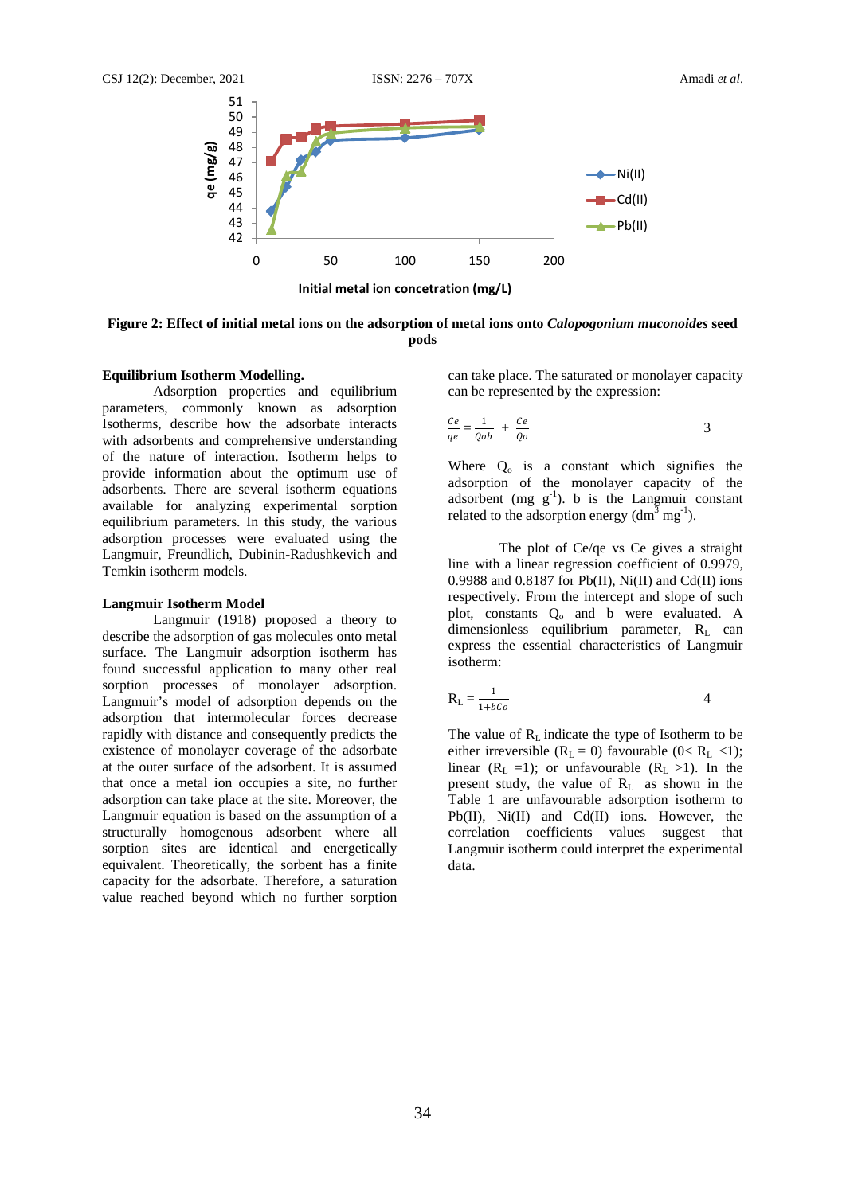

**Figure 2: Effect of initial metal ions on the adsorption of metal ions onto** *Calopogonium muconoides* **seed pods**

### **Equilibrium Isotherm Modelling.**

Adsorption properties and equilibrium parameters, commonly known as adsorption Isotherms, describe how the adsorbate interacts with adsorbents and comprehensive understanding of the nature of interaction. Isotherm helps to provide information about the optimum use of adsorbents. There are several isotherm equations available for analyzing experimental sorption equilibrium parameters. In this study, the various adsorption processes were evaluated using the Langmuir, Freundlich, Dubinin-Radushkevich and Temkin isotherm models.

### **Langmuir Isotherm Model**

Langmuir (1918) proposed a theory to describe the adsorption of gas molecules onto metal surface. The Langmuir adsorption isotherm has found successful application to many other real sorption processes of monolayer adsorption. Langmuir's model of adsorption depends on the adsorption that intermolecular forces decrease rapidly with distance and consequently predicts the existence of monolayer coverage of the adsorbate at the outer surface of the adsorbent. It is assumed that once a metal ion occupies a site, no further adsorption can take place at the site. Moreover, the Langmuir equation is based on the assumption of a structurally homogenous adsorbent where all sorption sites are identical and energetically equivalent. Theoretically, the sorbent has a finite capacity for the adsorbate. Therefore, a saturation value reached beyond which no further sorption

can take place. The saturated or monolayer capacity can be represented by the expression:

$$
\frac{Ce}{qe} = \frac{1}{Qob} + \frac{Ce}{Qo}
$$

Where  $Q_0$  is a constant which signifies the adsorption of the monolayer capacity of the adsorbent (mg  $g^{-1}$ ). b is the Langmuir constant related to the adsorption energy  $(dm<sup>3</sup> mg<sup>-1</sup>)$ .

The plot of Ce/qe vs Ce gives a straight line with a linear regression coefficient of 0.9979, 0.9988 and 0.8187 for Pb(II), Ni(II) and Cd(II) ions respectively. From the intercept and slope of such plot, constants Q<sub>o</sub> and b were evaluated. A  $d$ imensionless equilibrium parameter, R<sub>L</sub> can express the essential characteristics of Langmuir isotherm:

$$
R_L = \frac{1}{1 + bCo}
$$

The value of  $R_L$  indicate the type of Isotherm to be either irreversible ( $R_L = 0$ ) favourable ( $0 < R_L < 1$ ); linear  $(R_L =1)$ ; or unfavourable  $(R_L >1)$ . In the present study, the value of  $R<sub>L</sub>$  as shown in the Table 1 are unfavourable adsorption isotherm to Pb(II), Ni(II) and Cd(II) ions. However, the correlation coefficients values suggest that Langmuir isotherm could interpret the experimental data.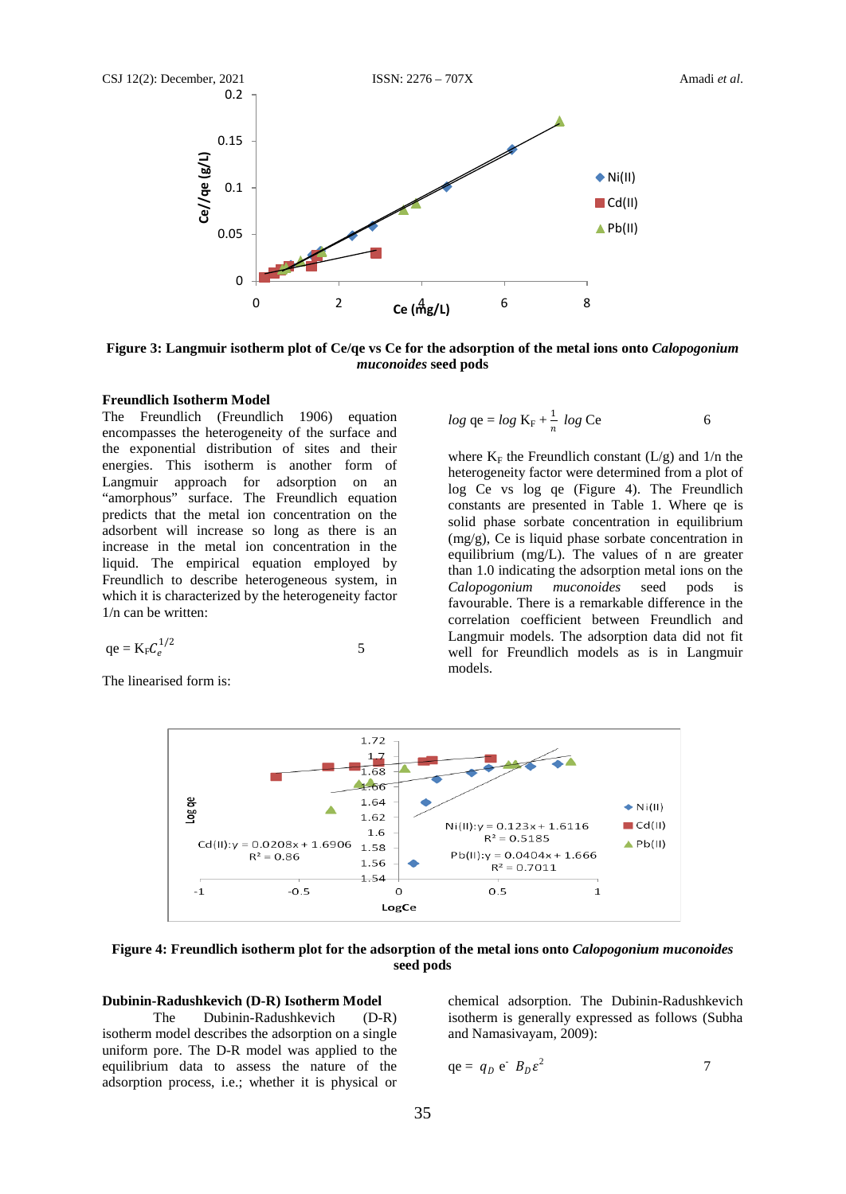

**Figure 3: Langmuir isotherm plot of Ce/qe vs Ce for the adsorption of the metal ions onto** *Calopogonium muconoides* **seed pods**

# **Freundlich Isotherm Model**

The Freundlich (Freundlich 1906) equation encompasses the heterogeneity of the surface and the exponential distribution of sites and their energies. This isotherm is another form of Langmuir approach for adsorption on an "amorphous" surface. The Freundlich equation predicts that the metal ion concentration on the adsorbent will increase so long as there is an increase in the metal ion concentration in the liquid. The empirical equation employed by Freundlich to describe heterogeneous system, in which it is characterized by the heterogeneity factor 1/n can be written:

$$
qe = K_F C_e^{1/2}
$$
 5

The linearised form is:

$$
log qe = log K_{\rm F} + \frac{1}{n} log Ce
$$
 6

where  $K_F$  the Freundlich constant (L/g) and 1/n the heterogeneity factor were determined from a plot of log Ce vs log qe (Figure 4). The Freundlich constants are presented in Table 1. Where qe is solid phase sorbate concentration in equilibrium (mg/g), Ce is liquid phase sorbate concentration in equilibrium (mg/L). The values of n are greater than 1.0 indicating the adsorption metal ions on the *Calopogonium muconoides* seed pods is favourable. There is a remarkable difference in the correlation coefficient between Freundlich and Langmuir models. The adsorption data did not fit well for Freundlich models as is in Langmuir models.



**Figure 4: Freundlich isotherm plot for the adsorption of the metal ions onto** *Calopogonium muconoides*  **seed pods**

# **Dubinin-Radushkevich (D-R) Isotherm Model**

The Dubinin-Radushkevich (D-R) isotherm model describes the adsorption on a single uniform pore. The D-R model was applied to the equilibrium data to assess the nature of the adsorption process, i.e.; whether it is physical or

chemical adsorption. The Dubinin-Radushkevich isotherm is generally expressed as follows (Subha and Namasivayam*,* 2009):

$$
qe = q_D e^T B_D \varepsilon^2 \tag{7}
$$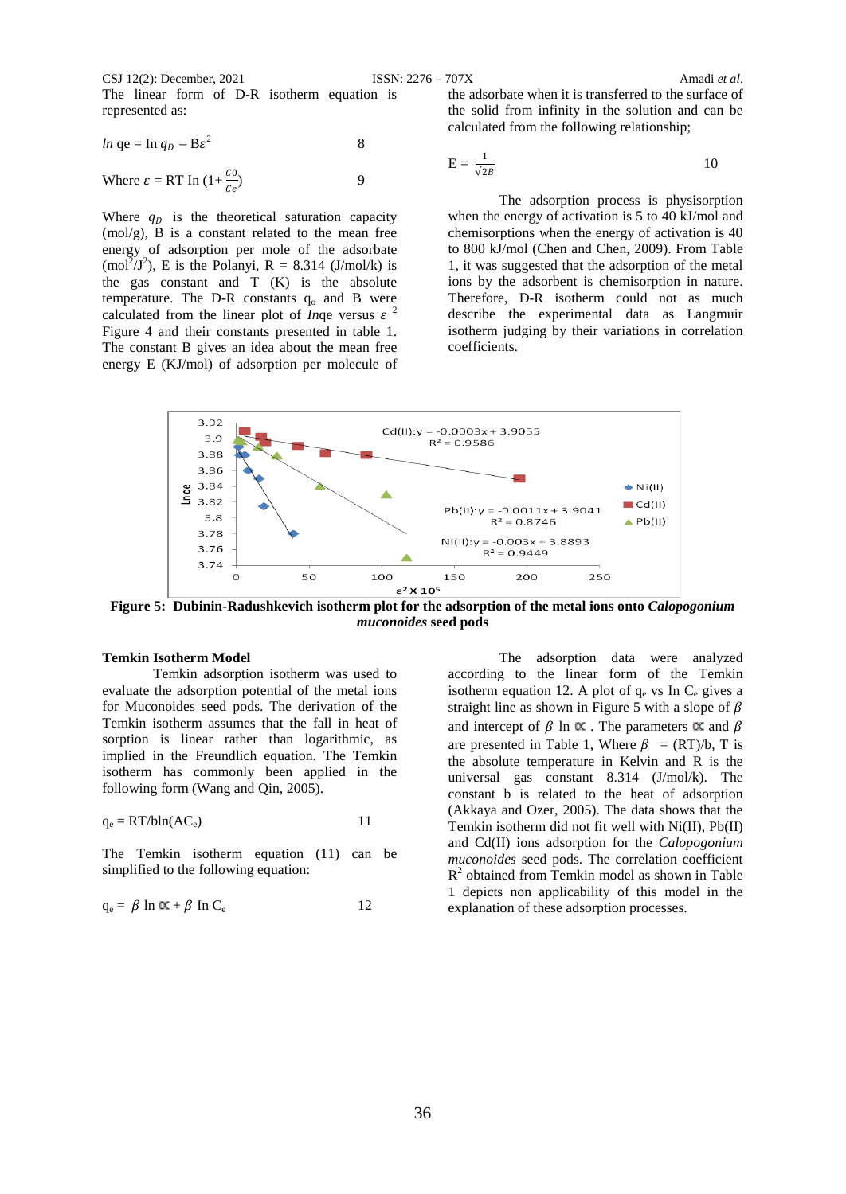CSJ 12(2): December, 2021 ISSN: 2276 – 707X Amadi *et al*. The linear form of D-R isotherm equation is represented as:

$$
ln qe = \ln q_D - B\varepsilon^2
$$
 8

Where 
$$
\varepsilon = RT \ln (1 + \frac{C0}{C_e})
$$
 9

Where  $q_D$  is the theoretical saturation capacity  $(mol/g)$ , B is a constant related to the mean free energy of adsorption per mole of the adsorbate  $(mol<sup>2</sup>/J<sup>2</sup>)$ , E is the Polanyi, R = 8.314 (J/mol/k) is the gas constant and T (K) is the absolute temperature. The D-R constants  $q_0$  and B were calculated from the linear plot of *In*qe versus  $\varepsilon^2$ Figure 4 and their constants presented in table 1. The constant B gives an idea about the mean free energy E (KJ/mol) of adsorption per molecule of

the adsorbate when it is transferred to the surface of the solid from infinity in the solution and can be calculated from the following relationship;

$$
E = \frac{1}{\sqrt{2B}}
$$

The adsorption process is physisorption when the energy of activation is 5 to 40 kJ/mol and chemisorptions when the energy of activation is 40 to 800 kJ/mol (Chen and Chen, 2009). From Table 1, it was suggested that the adsorption of the metal ions by the adsorbent is chemisorption in nature. Therefore, D-R isotherm could not as much describe the experimental data as Langmuir isotherm judging by their variations in correlation coefficients.



**Figure 5: Dubinin-Radushkevich isotherm plot for the adsorption of the metal ions onto** *Calopogonium muconoides* **seed pods**

### **Temkin Isotherm Model**

Temkin adsorption isotherm was used to evaluate the adsorption potential of the metal ions for Muconoides seed pods. The derivation of the Temkin isotherm assumes that the fall in heat of sorption is linear rather than logarithmic, as implied in the Freundlich equation. The Temkin isotherm has commonly been applied in the following form (Wang and Qin, 2005).

$$
q_e = RT/bln(AC_e)
$$
 11

The Temkin isotherm equation (11) can be simplified to the following equation:

$$
q_e = \beta \ln \alpha \kappa + \beta \ln C_e \qquad \qquad 12
$$

The adsorption data were analyzed according to the linear form of the Temkin isotherm equation 12. A plot of  $q_e$  vs In  $C_e$  gives a straight line as shown in Figure 5 with a slope of  $\beta$ and intercept of  $\beta$  ln  $\alpha$ . The parameters  $\alpha$  and  $\beta$ are presented in Table 1, Where  $\beta = (RT)/b$ , T is the absolute temperature in Kelvin and R is the universal gas constant 8.314 (J/mol/k). The constant b is related to the heat of adsorption (Akkaya and Ozer*,* 2005). The data shows that the Temkin isotherm did not fit well with Ni(II), Pb(II) and Cd(II) ions adsorption for the *Calopogonium muconoides* seed pods. The correlation coefficient  $R<sup>2</sup>$  obtained from Temkin model as shown in Table 1 depicts non applicability of this model in the explanation of these adsorption processes.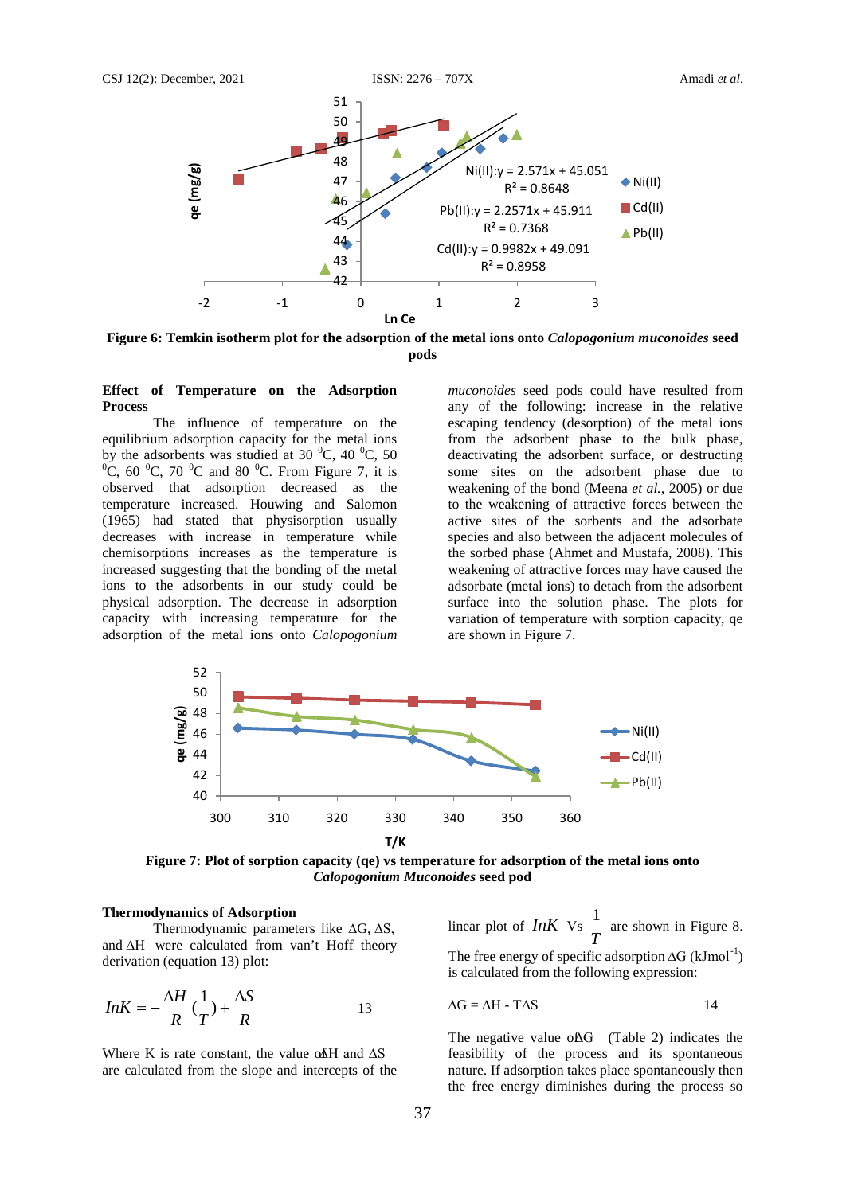

**Figure 6: Temkin isotherm plot for the adsorption of the metal ions onto** *Calopogonium muconoides* **seed pods**

#### **Effect of Temperature on the Adsorption Process**

The influence of temperature on the equilibrium adsorption capacity for the metal ions by the adsorbents was studied at 30  $^{\circ}$ C, 40  $^{\circ}$ C, 50<br> $^{\circ}$ C, 60  $^{\circ}$ C, 70  $^{\circ}$ C, and 80  $^{\circ}$ C. From Figure 7, it is C, 60  $^0$ C, 70  $^0$ C and 80  $^0$ C. From Figure 7, it is observed that adsorption decreased as the temperature increased. Houwing and Salomon (1965) had stated that physisorption usually decreases with increase in temperature while chemisorptions increases as the temperature is increased suggesting that the bonding of the metal ions to the adsorbents in our study could be physical adsorption. The decrease in adsorption capacity with increasing temperature for the adsorption of the metal ions onto *Calopogonium* 

*muconoides* seed pods could have resulted from any of the following: increase in the relative escaping tendency (desorption) of the metal ions from the adsorbent phase to the bulk phase, deactivating the adsorbent surface, or destructing some sites on the adsorbent phase due to weakening of the bond (Meena *et al.,* 2005) or due to the weakening of attractive forces between the active sites of the sorbents and the adsorbate species and also between the adjacent molecules of the sorbed phase (Ahmet and Mustafa, 2008). This weakening of attractive forces may have caused the adsorbate (metal ions) to detach from the adsorbent surface into the solution phase. The plots for variation of temperature with sorption capacity, qe are shown in Figure 7.



**Figure 7: Plot of sorption capacity (qe) vs temperature for adsorption of the metal ions onto**  *Calopogonium Muconoides* **seed pod**

### **Thermodynamics of Adsorption**

Thermodynamic parameters like ∆G, ∆S, and ∆H were calculated from van't Hoff theory derivation (equation 13) plot:

$$
InK = -\frac{\Delta H}{R}(\frac{1}{T}) + \frac{\Delta S}{R}
$$

Where K is rate constant, the value of  $\overline{AB}$  and  $\Delta S$ are calculated from the slope and intercepts of the linear plot of *InK* Vs *T*  $\frac{1}{2}$  are shown in Figure 8. The free energy of specific adsorption  $\Delta G$  (kJmol<sup>-1</sup>) is calculated from the following expression:

$$
\Delta G = \Delta H - T\Delta S \tag{14}
$$

The negative value of  $\Delta G$  (Table 2) indicates the feasibility of the process and its spontaneous nature. If adsorption takes place spontaneously then the free energy diminishes during the process so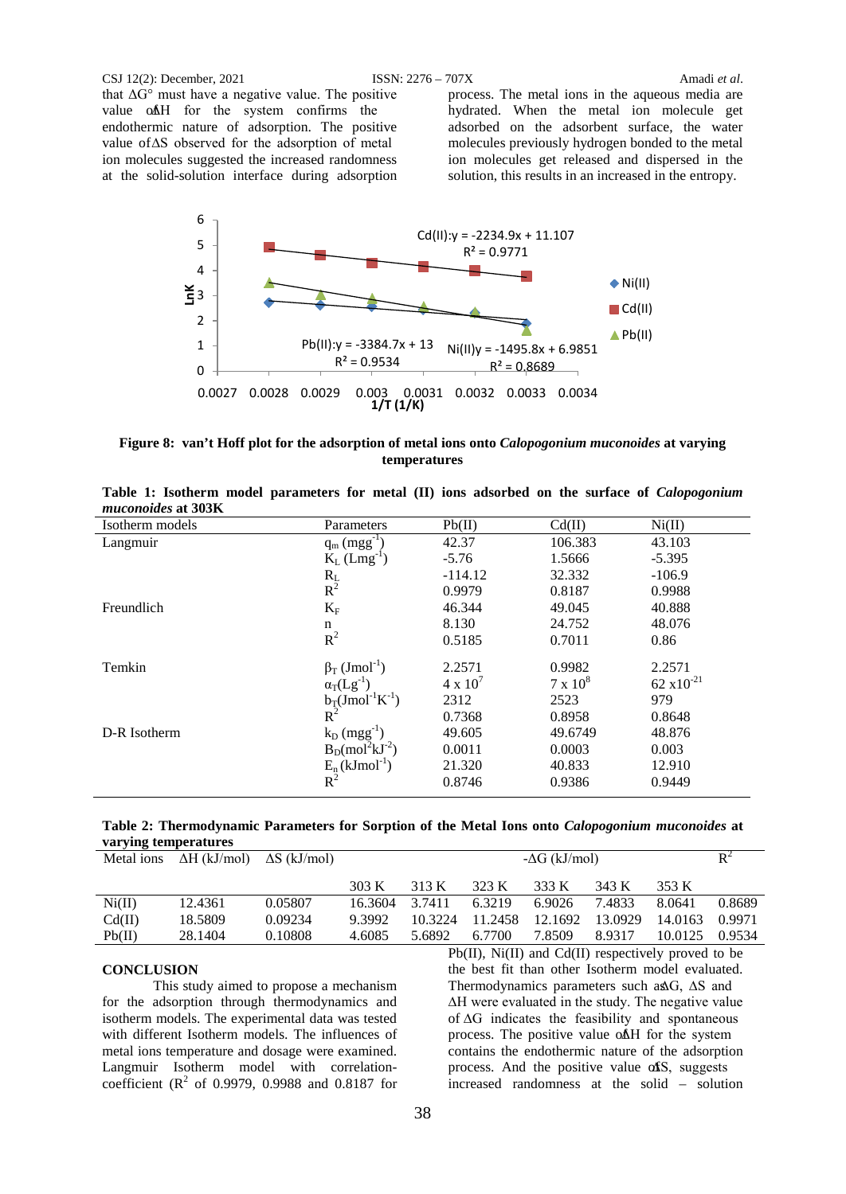#### CSJ 12(2): December, 2021 ISSN: 2276 – 707X Amadi *et al*.

that  $\Delta G^{\circ}$  must have a negative value. The positive value of ∆H for the system confirms the endothermic nature of adsorption. The positive value of ∆S observed for the adsorption of metal ion molecules suggested the increased randomness at the solid-solution interface during adsorption

process. The metal ions in the aqueous media are hydrated. When the metal ion molecule get adsorbed on the adsorbent surface, the water molecules previously hydrogen bonded to the metal ion molecules get released and dispersed in the solution, this results in an increased in the entropy.



**Figure 8: van't Hoff plot for the adsorption of metal ions onto** *Calopogonium muconoides* **at varying temperatures**

| Isotherm models | Parameters                                 | Pb(II)            | Cd(II)          | Ni(II)         |
|-----------------|--------------------------------------------|-------------------|-----------------|----------------|
| Langmuir        | $q_m (mgg^{-1})$                           | 42.37             | 106.383         | 43.103         |
|                 | $K_L$ (Lmg <sup>-1</sup> )                 | $-5.76$           | 1.5666          | $-5.395$       |
|                 | $\frac{R_L}{R^2}$                          | $-114.12$         | 32.332          | $-106.9$       |
|                 |                                            | 0.9979            | 0.8187          | 0.9988         |
| Freundlich      | $K_F$                                      | 46.344            | 49.045          | 40.888         |
|                 | n                                          | 8.130             | 24.752          | 48.076         |
|                 | $R^2$                                      | 0.5185            | 0.7011          | 0.86           |
| Temkin          | $\beta$ <sub>T</sub> (Jmol <sup>-1</sup> ) | 2.2571            | 0.9982          | 2.2571         |
|                 | $\alpha_T(Lg^{-1})$                        | $4 \times 10^{7}$ | $7 \times 10^8$ | 62 $x10^{-21}$ |
|                 | $b_T (J \text{mol}^{-1} K^{-1})$           | 2312              | 2523            | 979            |
|                 | $R^2$                                      | 0.7368            | 0.8958          | 0.8648         |
| D-R Isotherm    | $k_D$ (mgg <sup>-1</sup> )                 | 49.605            | 49.6749         | 48.876         |
|                 | $B_D (mol2kJ-2)$                           | 0.0011            | 0.0003          | 0.003          |
|                 | $E_n(kJmol^{-1})$                          | 21.320            | 40.833          | 12.910         |
|                 | $R^2$                                      | 0.8746            | 0.9386          | 0.9449         |
|                 |                                            |                   |                 |                |

|                    |  |  |  |  |  | Table 1: Isotherm model parameters for metal (II) ions adsorbed on the surface of <i>Calopogonium</i> |
|--------------------|--|--|--|--|--|-------------------------------------------------------------------------------------------------------|
| muconoides at 303K |  |  |  |  |  |                                                                                                       |

| Table 2: Thermodynamic Parameters for Sorption of the Metal Ions onto Calopogonium muconoides at |  |  |  |
|--------------------------------------------------------------------------------------------------|--|--|--|
| varying temperatures                                                                             |  |  |  |

| Metal ions | $\Delta H$ (kJ/mol) $\Delta S$ (kJ/mol) |         | $-\Delta G$ (kJ/mol) |         |         |         |         |         | $\mathbf{R}^2$ |
|------------|-----------------------------------------|---------|----------------------|---------|---------|---------|---------|---------|----------------|
|            |                                         |         | 303 K                | 313 K   | 323 K   | 333 K   | 343 K   | 353 K   |                |
| Ni(II)     | 12.4361                                 | 0.05807 | 16.3604              | 3.7411  | 63219   | 6.9026  | 7.4833  | 8.0641  | 0.8689         |
| Cd(II)     | 18.5809                                 | 0.09234 | 9.3992               | 10.3224 | 11.2458 | 12.1692 | 13.0929 | 14.0163 | 0.9971         |
| Pb(II)     | 28.1404                                 | 0.10808 | 4.6085               | 5.6892  | 6.7700  | 7.8509  | 8.9317  | 10.0125 | 0.9534         |

# **CONCLUSION**

This study aimed to propose a mechanism for the adsorption through thermodynamics and isotherm models. The experimental data was tested with different Isotherm models. The influences of metal ions temperature and dosage were examined. Langmuir Isotherm model with correlationcoefficient ( $R^2$  of 0.9979, 0.9988 and 0.8187 for

Pb(II), Ni(II) and Cd(II) respectively proved to be the best fit than other Isotherm model evaluated. Thermodynamics parameters such as∆G, ∆S and ∆H were evaluated in the study. The negative value of ∆G indicates the feasibility and spontaneous process. The positive value o∆AH for the system contains the endothermic nature of the adsorption process. And the positive value  $\alpha$ S, suggests increased randomness at the solid – solution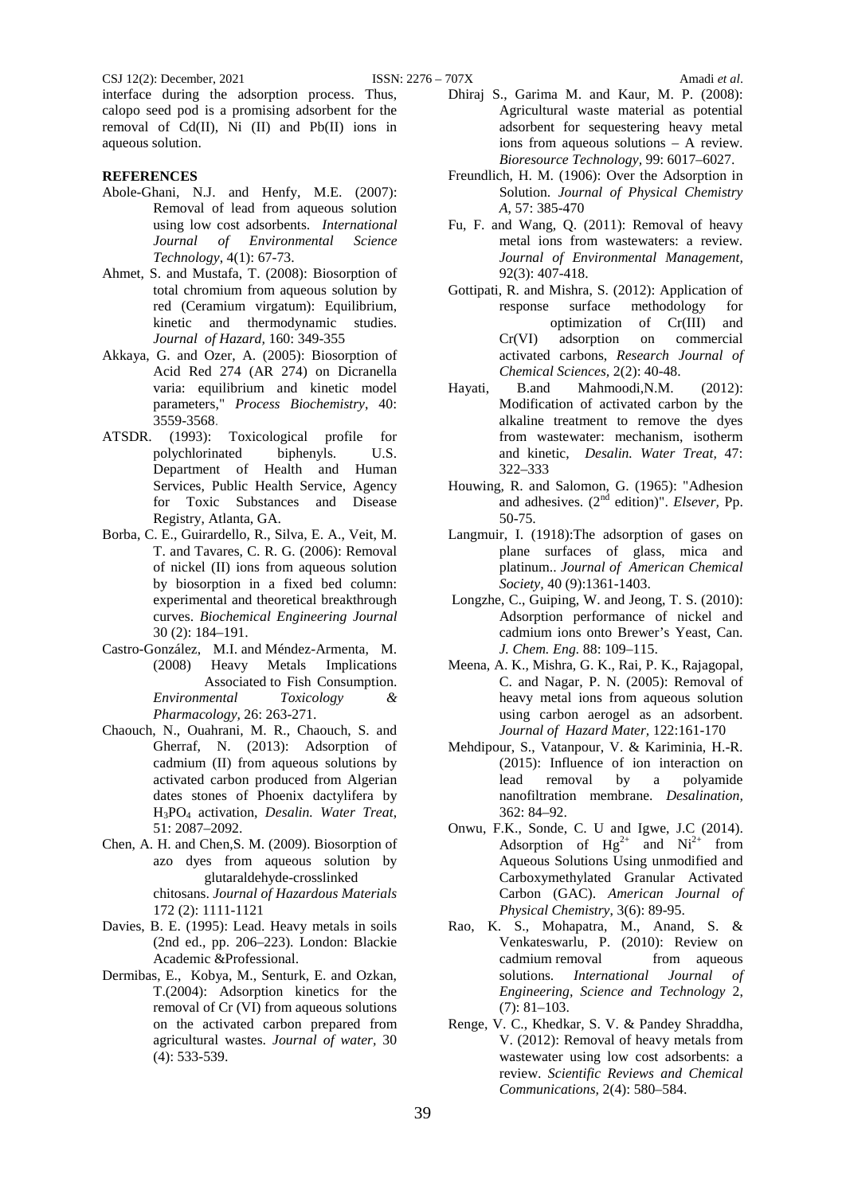CSJ 12(2): December, 2021 ISSN: 2276 – 707X Amadi *et al*.

interface during the adsorption process. Thus, calopo seed pod is a promising adsorbent for the removal of Cd(II), Ni (II) and Pb(II) ions in aqueous solution.

### **REFERENCES**

- Abole-Ghani, N.J. and Henfy, M.E. (2007): Removal of lead from aqueous solution using low cost adsorbents. *International of Environmental Science Technology*, 4(1): 67-73.
- Ahmet, S. and Mustafa, T. (2008): Biosorption of total chromium from aqueous solution by red (Ceramium virgatum): Equilibrium, kinetic and thermodynamic studies. *Journal of Hazard,* 160: 349-355
- Akkaya, G. and Ozer, A. (2005): Biosorption of Acid Red 274 (AR 274) on Dicranella varia: equilibrium and kinetic model parameters," *Process Biochemistry*, 40: 3559-3568.
- ATSDR. (1993): Toxicological profile for polychlorinated biphenyls. U.S. Department of Health and Human Services, Public Health Service, Agency for Toxic Substances and Disease Registry, Atlanta, GA.
- Borba, C. E., Guirardello, R., Silva, E. A., Veit, M. T. and Tavares, C. R. G. (2006): Removal of nickel (II) ions from aqueous solution by biosorption in a fixed bed column: experimental and theoretical breakthrough curves. *Biochemical Engineering Journal* 30 (2): 184–191.
- Castro-González, M.I. and Méndez-Armenta, M. (2008) Heavy Metals Implications Associated to Fish Consumption. *Environmental Toxicology & Pharmacology,* 26: 263-271.
- Chaouch, N., Ouahrani, M. R., Chaouch, S. and Gherraf, N. (2013): Adsorption of cadmium (II) from aqueous solutions by activated carbon produced from Algerian dates stones of Phoenix dactylifera by H3PO4 activation, *Desalin. Water Treat*, 51: 2087–2092.
- Chen, A. H. and Chen,S. M. (2009). Biosorption of azo dyes from aqueous solution by glutaraldehyde-crosslinked chitosans. *Journal of Hazardous Materials* 172 (2): 1111-1121
- Davies, B. E. (1995): Lead. Heavy metals in soils (2nd ed., pp. 206–223). London: Blackie Academic &Professional.
- Dermibas, E., Kobya, M., Senturk, E. and Ozkan, T.(2004): Adsorption kinetics for the removal of Cr (VI) from aqueous solutions on the activated carbon prepared from agricultural wastes. *Journal of water,* 30 (4): 533-539.
- Dhiraj S., Garima M. and Kaur, M. P. (2008): Agricultural waste material as potential adsorbent for sequestering heavy metal ions from aqueous solutions – A review. *Bioresource Technology,* 99: 6017–6027.
- Freundlich, H. M. (1906): Over the Adsorption in Solution. *Journal of Physical Chemistry A*, 57: 385-470
- Fu, F. and Wang, Q. (2011): Removal of heavy metal ions from wastewaters: a review*. Journal of Environmental Management,* 92(3): 407-418.
- Gottipati, R. and Mishra, S. (2012): Application of response surface methodology for optimization of Cr(III) and Cr(VI) adsorption on commercial activated carbons, *Research Journal of Chemical Sciences,* 2(2): 40-48.
- Hayati, B.and Mahmoodi,N.M. (2012): Modification of activated carbon by the alkaline treatment to remove the dyes from wastewater: mechanism, isotherm and kinetic, *Desalin. Water Treat,* 47: 322–333
- Houwing, R. and Salomon, G. (1965): "Adhesion and adhesives. (2nd edition)". *Elsever,* Pp. 50-75.
- Langmuir, I. (1918):The adsorption of gases on plane surfaces of glass, mica and platinum.. *Journal of American Chemical Society,* 40 (9):1361-1403.
- Longzhe, C., Guiping, W. and Jeong, T. S. (2010): Adsorption performance of nickel and cadmium ions onto Brewer's Yeast, Can. *J. Chem. Eng.* 88: 109–115.
- Meena, A. K., Mishra, G. K., Rai, P. K., Rajagopal, C. and Nagar, P. N. (2005): Removal of heavy metal ions from aqueous solution using carbon aerogel as an adsorbent. *Journal of Hazard Mater,* 122:161-170
- Mehdipour, S., Vatanpour, V. & Kariminia, H.-R. (2015): Influence of ion interaction on lead removal by a polyamide nanofiltration membrane. *Desalination,* 362: 84–92.
- Onwu, F.K., Sonde, C. U and Igwe, J.C (2014). Adsorption of  $Hg^{2+}$  and  $Ni^{2+}$  from Aqueous Solutions Using unmodified and Carboxymethylated Granular Activated Carbon (GAC). *American Journal of Physical Chemistry*, 3(6): 89-95.
- Rao, K. S., Mohapatra, M., Anand, S. & Venkateswarlu, P. (2010): Review on cadmium removal from aqueous solutions. *International Journal of Engineering, Science and Technology* 2, (7): 81–103.
- Renge, V. C., Khedkar, S. V. & Pandey Shraddha, V. (2012): Removal of heavy metals from wastewater using low cost adsorbents: a review. *Scientific Reviews and Chemical Communications,* 2(4): 580–584.